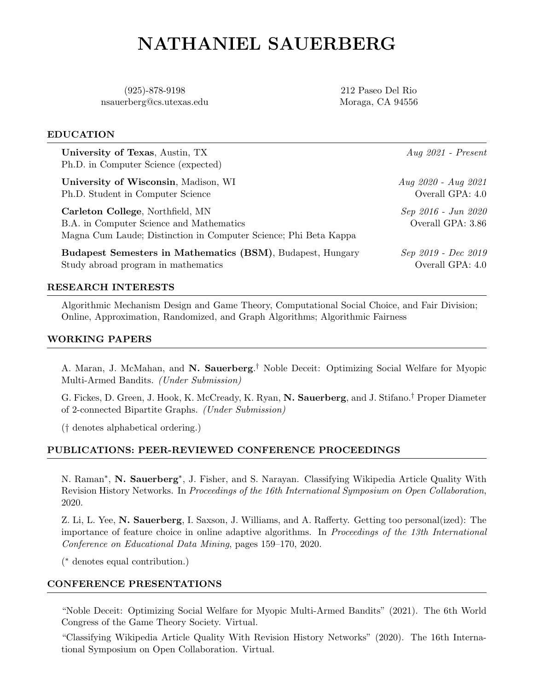# NATHANIEL SAUERBERG

(925)-878-9198 nsauerberg@cs.utexas.edu

212 Paseo Del Rio Moraga, CA 94556

### EDUCATION

University of Texas, Austin, TX  $Aug 2021$  - Present Ph.D. in Computer Science (expected) University of Wisconsin, Madison, WI Aug 2020 - Aug 2021 Ph.D. Student in Computer Science **Overall GPA:** 4.0 Carleton College, Northfield, MN Sep 2016 - Jun 2020 B.A. in Computer Science and Mathematics Overall GPA: 3.86 Magna Cum Laude; Distinction in Computer Science; Phi Beta Kappa Budapest Semesters in Mathematics (BSM), Budapest, Hungary Sep 2019 - Dec 2019 Study abroad program in mathematics Overall GPA: 4.0

# RESEARCH INTERESTS

Algorithmic Mechanism Design and Game Theory, Computational Social Choice, and Fair Division; Online, Approximation, Randomized, and Graph Algorithms; Algorithmic Fairness

# WORKING PAPERS

A. Maran, J. McMahan, and N. Sauerberg.<sup>†</sup> Noble Deceit: Optimizing Social Welfare for Myopic Multi-Armed Bandits. (Under Submission)

G. Fickes, D. Green, J. Hook, K. McCready, K. Ryan, N. Sauerberg, and J. Stifano.† Proper Diameter of 2-connected Bipartite Graphs. (Under Submission)

(† denotes alphabetical ordering.)

# PUBLICATIONS: PEER-REVIEWED CONFERENCE PROCEEDINGS

N. Raman<sup>\*</sup>, N. Sauerberg<sup>\*</sup>, J. Fisher, and S. Narayan. Classifying Wikipedia Article Quality With Revision History Networks. In Proceedings of the 16th International Symposium on Open Collaboration, 2020.

Z. Li, L. Yee, N. Sauerberg, I. Saxson, J. Williams, and A. Rafferty. Getting too personal(ized): The importance of feature choice in online adaptive algorithms. In Proceedings of the 13th International Conference on Educational Data Mining, pages 159–170, 2020.

( <sup>∗</sup> denotes equal contribution.)

# CONFERENCE PRESENTATIONS

"Noble Deceit: Optimizing Social Welfare for Myopic Multi-Armed Bandits" (2021). The 6th World Congress of the Game Theory Society. Virtual.

"Classifying Wikipedia Article Quality With Revision History Networks" (2020). The 16th International Symposium on Open Collaboration. Virtual.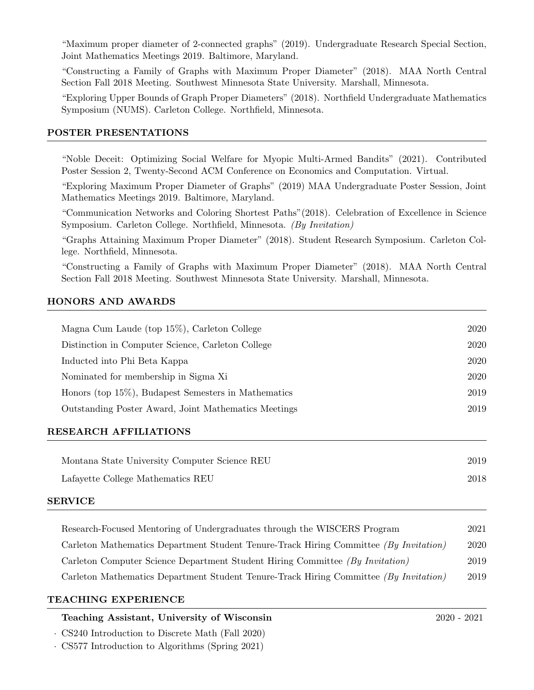"Maximum proper diameter of 2-connected graphs" (2019). Undergraduate Research Special Section, Joint Mathematics Meetings 2019. Baltimore, Maryland.

"Constructing a Family of Graphs with Maximum Proper Diameter" (2018). MAA North Central Section Fall 2018 Meeting. Southwest Minnesota State University. Marshall, Minnesota.

"Exploring Upper Bounds of Graph Proper Diameters" (2018). Northfield Undergraduate Mathematics Symposium (NUMS). Carleton College. Northfield, Minnesota.

#### POSTER PRESENTATIONS

"Noble Deceit: Optimizing Social Welfare for Myopic Multi-Armed Bandits" (2021). Contributed Poster Session 2, Twenty-Second ACM Conference on Economics and Computation. Virtual.

"Exploring Maximum Proper Diameter of Graphs" (2019) MAA Undergraduate Poster Session, Joint Mathematics Meetings 2019. Baltimore, Maryland.

"Communication Networks and Coloring Shortest Paths"(2018). Celebration of Excellence in Science Symposium. Carleton College. Northfield, Minnesota. (By Invitation)

"Graphs Attaining Maximum Proper Diameter" (2018). Student Research Symposium. Carleton College. Northfield, Minnesota.

"Constructing a Family of Graphs with Maximum Proper Diameter" (2018). MAA North Central Section Fall 2018 Meeting. Southwest Minnesota State University. Marshall, Minnesota.

#### HONORS AND AWARDS

|                                                         | 2020 |
|---------------------------------------------------------|------|
| Magna Cum Laude (top 15%), Carleton College             |      |
| Distinction in Computer Science, Carleton College       | 2020 |
| Inducted into Phi Beta Kappa                            | 2020 |
| Nominated for membership in Sigma Xi                    | 2020 |
| Honors (top $15\%$ ), Budapest Semesters in Mathematics | 2019 |
| Outstanding Poster Award, Joint Mathematics Meetings    | 2019 |
|                                                         |      |

# RESEARCH AFFILIATIONS

| Montana State University Computer Science REU | 2019 |
|-----------------------------------------------|------|
| Lafayette College Mathematics REU             | 2018 |

#### SERVICE

| Research-Focused Mentoring of Undergraduates through the WISCERS Program              | 2021 |
|---------------------------------------------------------------------------------------|------|
| Carleton Mathematics Department Student Tenure-Track Hiring Committee (By Invitation) | 2020 |
| Carleton Computer Science Department Student Hiring Committee (By Invitation)         | 2019 |
| Carleton Mathematics Department Student Tenure-Track Hiring Committee (By Invitation) | 2019 |

#### TEACHING EXPERIENCE

# Teaching Assistant, University of Wisconsin 2020 - 2021

· CS240 Introduction to Discrete Math (Fall 2020)

· CS577 Introduction to Algorithms (Spring 2021)